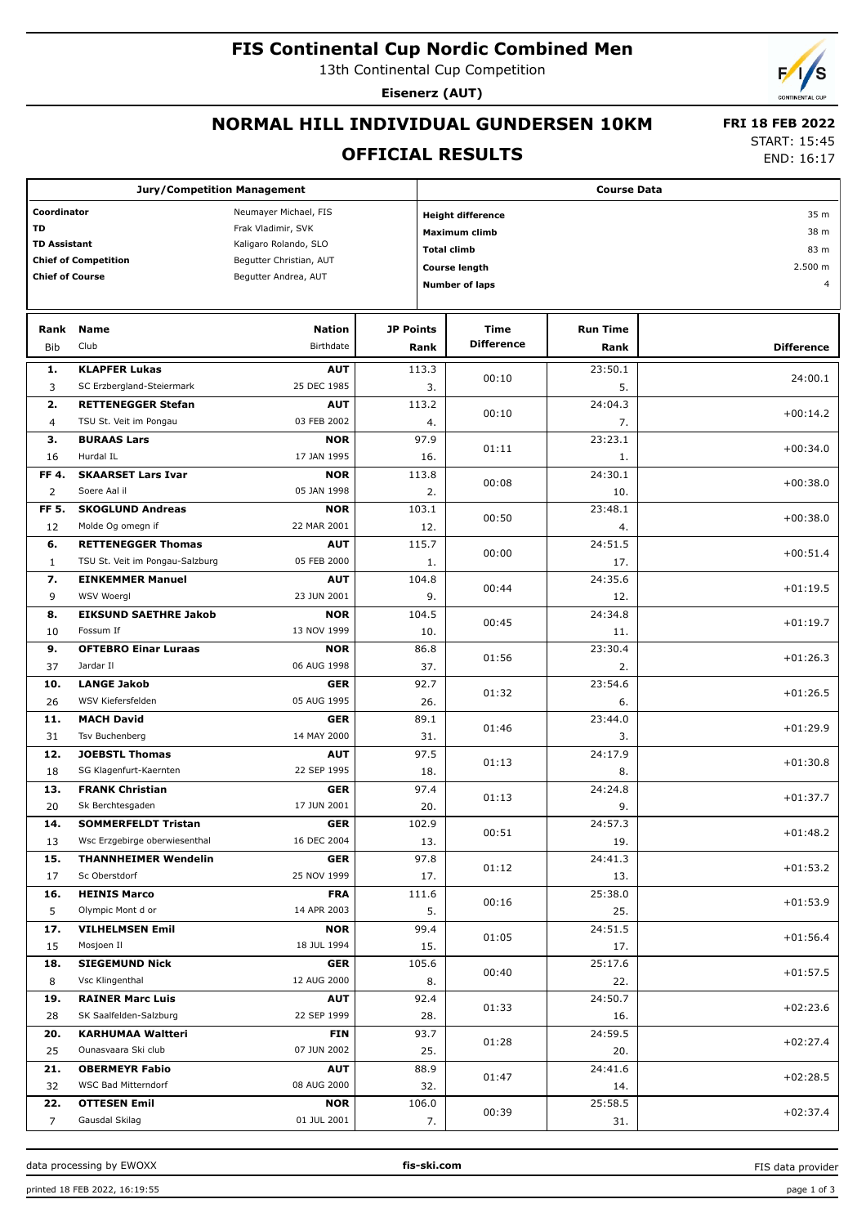# **FIS Continental Cup Nordic Combined Men**

13th Continental Cup Competition

**Eisenerz (AUT)**

### **NORMAL HILL INDIVIDUAL GUNDERSEN 10KM**

#### **OFFICIAL RESULTS**

 **FRI 18 FEB 2022** START: 15:45

END: 16:17

|                                      | <b>Jury/Competition Management</b>           |                           |                  | <b>Course Data</b>               |                       |                 |                   |  |  |
|--------------------------------------|----------------------------------------------|---------------------------|------------------|----------------------------------|-----------------------|-----------------|-------------------|--|--|
| Coordinator<br>Neumayer Michael, FIS |                                              |                           |                  | 35 m<br><b>Height difference</b> |                       |                 |                   |  |  |
| <b>TD</b>                            |                                              | Frak Vladimir, SVK        |                  |                                  | <b>Maximum climb</b>  |                 | 38 m              |  |  |
| <b>TD Assistant</b>                  |                                              | Kaligaro Rolando, SLO     |                  | <b>Total climb</b>               |                       |                 | 83 m              |  |  |
|                                      | <b>Chief of Competition</b>                  | Begutter Christian, AUT   |                  |                                  |                       |                 |                   |  |  |
| <b>Chief of Course</b>               |                                              | Begutter Andrea, AUT      |                  |                                  | <b>Course length</b>  |                 | 2.500 m           |  |  |
|                                      |                                              |                           |                  |                                  | <b>Number of laps</b> |                 | $\overline{4}$    |  |  |
|                                      |                                              |                           |                  |                                  |                       |                 |                   |  |  |
| Rank                                 | Name                                         | <b>Nation</b>             | <b>JP Points</b> |                                  | Time                  | <b>Run Time</b> |                   |  |  |
| <b>Bib</b>                           | Club                                         | Birthdate                 |                  | Rank                             | <b>Difference</b>     | Rank            | <b>Difference</b> |  |  |
| 1.                                   | <b>KLAPFER Lukas</b>                         | <b>AUT</b>                |                  | 113.3                            |                       | 23:50.1         |                   |  |  |
| 3                                    | SC Erzbergland-Steiermark                    | 25 DEC 1985               |                  | 3.                               | 00:10                 | 5.              | 24:00.1           |  |  |
| 2.                                   | <b>RETTENEGGER Stefan</b>                    | <b>AUT</b>                |                  | 113.2                            |                       | 24:04.3         |                   |  |  |
| 4                                    | TSU St. Veit im Pongau                       | 03 FEB 2002               |                  | 4.                               | 00:10                 | 7.              | $+00:14.2$        |  |  |
| з.                                   | <b>BURAAS Lars</b>                           | <b>NOR</b>                |                  | 97.9                             |                       | 23:23.1         |                   |  |  |
| 16                                   | Hurdal IL                                    | 17 JAN 1995               |                  | 16.                              | 01:11                 | 1.              | $+00:34.0$        |  |  |
| FF 4.                                | <b>SKAARSET Lars Ivar</b>                    | <b>NOR</b>                |                  | 113.8                            |                       | 24:30.1         | $+00:38.0$        |  |  |
| $\overline{2}$                       | Soere Aal il                                 | 05 JAN 1998               |                  | 2.                               | 00:08                 | 10.             |                   |  |  |
| FF 5.                                | <b>SKOGLUND Andreas</b>                      | <b>NOR</b>                |                  | 103.1                            | 00:50                 | 23:48.1         | $+00:38.0$        |  |  |
| 12                                   | Molde Og omegn if                            | 22 MAR 2001               |                  | 12.                              |                       | 4.              |                   |  |  |
| 6.                                   | <b>RETTENEGGER Thomas</b>                    | <b>AUT</b>                |                  | 115.7                            | 00:00                 | 24:51.5         | $+00:51.4$        |  |  |
| $\mathbf{1}$                         | TSU St. Veit im Pongau-Salzburg              | 05 FEB 2000               |                  | 1.                               |                       | 17.             |                   |  |  |
| 7.                                   | <b>EINKEMMER Manuel</b>                      | <b>AUT</b>                |                  | 104.8                            | 00:44                 | 24:35.6         | $+01:19.5$        |  |  |
| 9                                    | WSV Woergl                                   | 23 JUN 2001               |                  | 9.                               |                       | 12.             |                   |  |  |
| 8.                                   | <b>EIKSUND SAETHRE Jakob</b><br>Fossum If    | <b>NOR</b><br>13 NOV 1999 |                  | 104.5                            | 00:45                 | 24:34.8         | $+01:19.7$        |  |  |
| 10<br>9.                             | <b>OFTEBRO Einar Luraas</b>                  | <b>NOR</b>                |                  | 10.<br>86.8                      |                       | 11.<br>23:30.4  |                   |  |  |
| 37                                   | Jardar II                                    | 06 AUG 1998               |                  | 37.                              | 01:56                 | 2.              | $+01:26.3$        |  |  |
| 10.                                  | <b>LANGE Jakob</b>                           | <b>GER</b>                |                  | 92.7                             |                       | 23:54.6         |                   |  |  |
| 26                                   | WSV Kiefersfelden                            | 05 AUG 1995               |                  | 26.                              | 01:32                 | 6.              | $+01:26.5$        |  |  |
| 11.                                  | <b>MACH David</b>                            | <b>GER</b>                |                  | 89.1                             |                       | 23:44.0         |                   |  |  |
| 31                                   | Tsv Buchenberg                               | 14 MAY 2000               |                  | 31.                              | 01:46                 | 3.              | $+01:29.9$        |  |  |
| 12.                                  | <b>JOEBSTL Thomas</b>                        | <b>AUT</b>                |                  | 97.5                             | 01:13                 | 24:17.9         | $+01:30.8$        |  |  |
| 18                                   | SG Klagenfurt-Kaernten                       | 22 SEP 1995               |                  | 18.                              |                       | 8.              |                   |  |  |
| 13.                                  | <b>FRANK Christian</b>                       | <b>GER</b>                |                  | 97.4                             | 01:13                 | 24:24.8         | $+01:37.7$        |  |  |
| 20                                   | Sk Berchtesgaden                             | 17 JUN 2001               |                  | 20.                              |                       | 9.              |                   |  |  |
| 14.                                  | <b>SOMMERFELDT Tristan</b>                   | <b>GER</b>                |                  | 102.9                            | 00:51                 | 24:57.3         | $+01:48.2$        |  |  |
| 13                                   | Wsc Erzgebirge oberwiesenthal                | 16 DEC 2004               |                  | 13.                              |                       | 19.             |                   |  |  |
| 15.                                  | <b>THANNHEIMER Wendelin</b><br>Sc Oberstdorf | <b>GER</b><br>25 NOV 1999 |                  | 97.8                             | 01:12                 | 24:41.3         | $+01:53.2$        |  |  |
| 17<br>16.                            | <b>HEINIS Marco</b>                          | <b>FRA</b>                |                  | 17.<br>111.6                     |                       | 13.<br>25:38.0  |                   |  |  |
| 5                                    | Olympic Mont d or                            | 14 APR 2003               |                  | 5.                               | 00:16                 | 25.             | $+01:53.9$        |  |  |
| 17.                                  | <b>VILHELMSEN Emil</b>                       | <b>NOR</b>                |                  | 99.4                             |                       | 24:51.5         |                   |  |  |
| 15                                   | Mosjoen Il                                   | 18 JUL 1994               |                  | 15.                              | 01:05                 | 17.             | $+01:56.4$        |  |  |
| 18.                                  | <b>SIEGEMUND Nick</b>                        | <b>GER</b>                |                  | 105.6                            |                       | 25:17.6         |                   |  |  |
| 8                                    | Vsc Klingenthal                              | 12 AUG 2000               |                  | 8.                               | 00:40                 | 22.             | $+01:57.5$        |  |  |
| 19.                                  | <b>RAINER Marc Luis</b>                      | <b>AUT</b>                |                  | 92.4                             |                       | 24:50.7         |                   |  |  |
| 28                                   | SK Saalfelden-Salzburg                       | 22 SEP 1999               |                  | 28.                              | 01:33                 | 16.             | $+02:23.6$        |  |  |
| 20.                                  | <b>KARHUMAA Waltteri</b>                     | <b>FIN</b>                |                  | 93.7                             |                       | 24:59.5         | $+02:27.4$        |  |  |
| 25                                   | Ounasvaara Ski club                          | 07 JUN 2002               |                  | 25.                              | 01:28                 | 20.             |                   |  |  |
| 21.                                  | <b>OBERMEYR Fabio</b>                        | <b>AUT</b>                |                  | 88.9                             | 01:47                 | 24:41.6         | $+02:28.5$        |  |  |
| 32                                   | WSC Bad Mitterndorf                          | 08 AUG 2000               |                  | 32.                              |                       | 14.             |                   |  |  |
| 22.                                  | <b>OTTESEN Emil</b>                          | <b>NOR</b>                |                  | 106.0                            | 00:39                 | 25:58.5         | $+02:37.4$        |  |  |
| 7                                    | Gausdal Skilag                               | 01 JUL 2001               |                  | 7.                               |                       | 31.             |                   |  |  |

data processing by EWOXX **fis-ski.com**

FIS data provider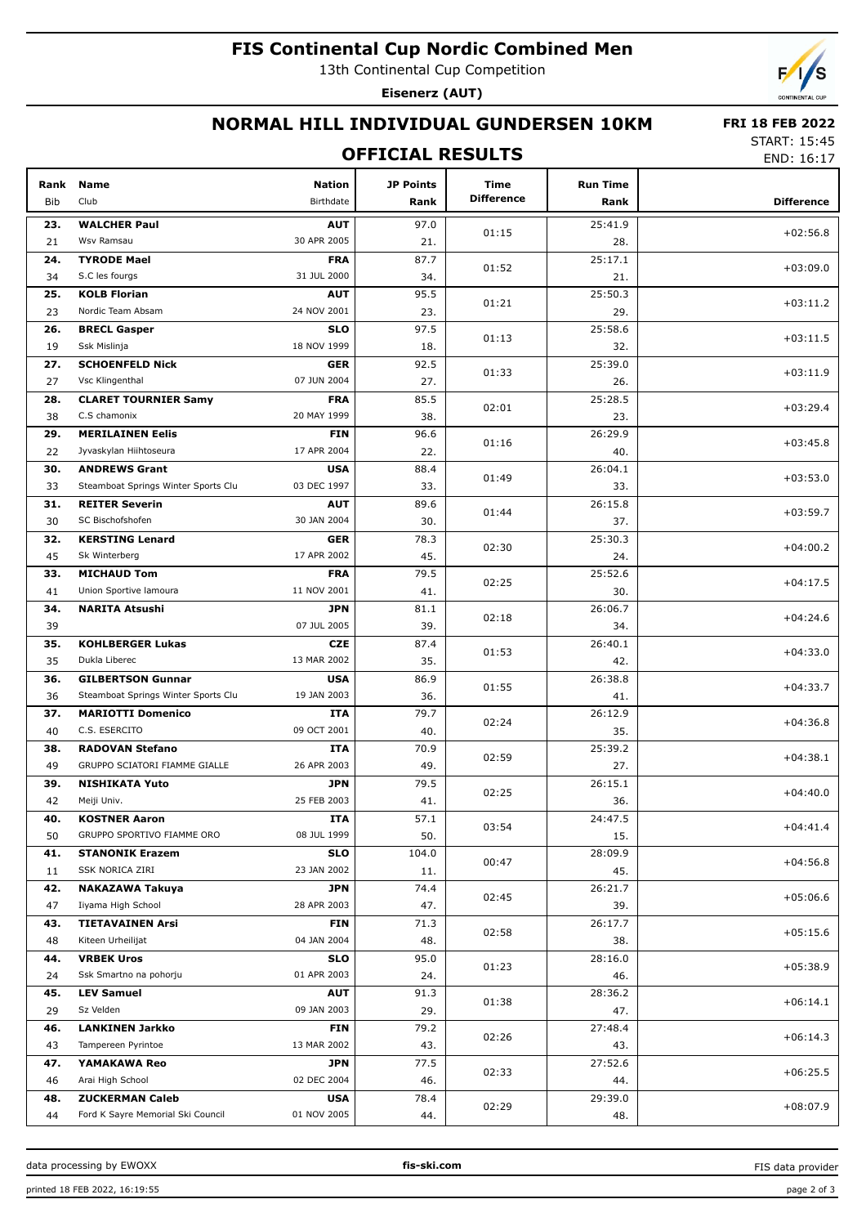# **FIS Continental Cup Nordic Combined Men**

13th Continental Cup Competition

Eisenerz (AUT)



#### NORMAL HILL INDIVIDUAL GUNDERSEN 10KM

#### **OFFICIAL RESULTS**

**FRI 18 FEB 2022 START: 15:45** 

END: 16:17

| Rank<br>Bib | <b>Name</b><br>Club                         | <b>Nation</b><br>Birthdate | JP Points<br>Rank | Time<br><b>Difference</b> | <b>Run Time</b><br>Rank | <b>Difference</b> |
|-------------|---------------------------------------------|----------------------------|-------------------|---------------------------|-------------------------|-------------------|
| 23.         | <b>WALCHER Paul</b>                         | <b>AUT</b>                 | 97.0              |                           | 25:41.9                 |                   |
| 21          | Wsv Ramsau                                  | 30 APR 2005                | 21.               | 01:15                     | 28.                     | $+02:56.8$        |
| 24.         | <b>TYRODE Mael</b>                          | <b>FRA</b>                 | 87.7              |                           | 25:17.1                 |                   |
| 34          | S.C les fourgs                              | 31 JUL 2000                | 34.               | 01:52                     | 21.                     | $+03:09.0$        |
| 25.         | <b>KOLB Florian</b>                         | <b>AUT</b>                 | 95.5              |                           | 25:50.3                 |                   |
| 23          | Nordic Team Absam                           | 24 NOV 2001                | 23.               | 01:21                     | 29.                     | $+03:11.2$        |
| 26.         | <b>BRECL Gasper</b>                         | <b>SLO</b>                 | 97.5              |                           | 25:58.6                 |                   |
| 19          | Ssk Mislinja                                | 18 NOV 1999                | 18.               | 01:13                     | 32.                     | $+03:11.5$        |
|             | <b>SCHOENFELD Nick</b>                      |                            |                   |                           |                         |                   |
| 27.         | Vsc Klingenthal                             | <b>GER</b><br>07 JUN 2004  | 92.5              | 01:33                     | 25:39.0                 | $+03:11.9$        |
| 27          |                                             |                            | 27.               |                           | 26.                     |                   |
| 28.         | <b>CLARET TOURNIER Samy</b><br>C.S chamonix | <b>FRA</b><br>20 MAY 1999  | 85.5              | 02:01                     | 25:28.5                 | $+03:29.4$        |
| 38          |                                             |                            | 38.               |                           | 23.                     |                   |
| 29.         | <b>MERILAINEN Eelis</b>                     | <b>FIN</b>                 | 96.6              | 01:16                     | 26:29.9                 | $+03:45.8$        |
| 22          | Jyvaskylan Hiihtoseura                      | 17 APR 2004                | 22.               |                           | 40.                     |                   |
| 30.         | <b>ANDREWS Grant</b>                        | <b>USA</b><br>03 DEC 1997  | 88.4              | 01:49                     | 26:04.1                 | $+03:53.0$        |
| 33          | Steamboat Springs Winter Sports Clu         |                            | 33.               |                           | 33.                     |                   |
| 31.         | <b>REITER Severin</b>                       | <b>AUT</b>                 | 89.6              | 01:44                     | 26:15.8                 | $+03:59.7$        |
| 30          | SC Bischofshofen                            | 30 JAN 2004                | 30.               |                           | 37.                     |                   |
| 32.         | <b>KERSTING Lenard</b>                      | <b>GER</b>                 | 78.3              | 02:30                     | 25:30.3                 | $+04:00.2$        |
| 45          | Sk Winterberg                               | 17 APR 2002                | 45.               |                           | 24.                     |                   |
| 33.         | <b>MICHAUD Tom</b>                          | <b>FRA</b>                 | 79.5              | 02:25                     | 25:52.6                 | $+04:17.5$        |
| 41          | Union Sportive lamoura                      | 11 NOV 2001                | 41.               |                           | 30.                     |                   |
| 34.         | <b>NARITA Atsushi</b>                       | JPN                        | 81.1              | 02:18                     | 26:06.7                 | $+04:24.6$        |
| 39          |                                             | 07 JUL 2005                | 39.               |                           | 34.                     |                   |
| 35.         | <b>KOHLBERGER Lukas</b>                     | <b>CZE</b>                 | 87.4              | 01:53                     | 26:40.1                 | $+04:33.0$        |
| 35          | Dukla Liberec                               | 13 MAR 2002                | 35.               |                           | 42.                     |                   |
| 36.         | <b>GILBERTSON Gunnar</b>                    | <b>USA</b>                 | 86.9              | 01:55                     | 26:38.8                 | $+04:33.7$        |
| 36          | Steamboat Springs Winter Sports Clu         | 19 JAN 2003                | 36.               |                           | 41.                     |                   |
| 37.         | <b>MARIOTTI Domenico</b>                    | ITA                        | 79.7              | 02:24                     | 26:12.9                 | $+04:36.8$        |
| 40          | C.S. ESERCITO                               | 09 OCT 2001                | 40.               |                           | 35.                     |                   |
| 38.         | <b>RADOVAN Stefano</b>                      | ITA                        | 70.9              | 02:59                     | 25:39.2                 | $+04:38.1$        |
| 49          | GRUPPO SCIATORI FIAMME GIALLE               | 26 APR 2003                | 49.               |                           | 27.                     |                   |
| 39.         | <b>NISHIKATA Yuto</b>                       | <b>JPN</b>                 | 79.5              | 02:25                     | 26:15.1                 | $+04:40.0$        |
| 42          | Meiji Univ.                                 | 25 FEB 2003                | 41.               |                           | 36.                     |                   |
| 40.         | <b>KOSTNER Aaron</b>                        | <b>ITA</b>                 | 57.1              | 03:54                     | 24:47.5                 | $+04:41.4$        |
| 50          | GRUPPO SPORTIVO FIAMME ORO                  | 08 JUL 1999                | 50.               |                           | 15.                     |                   |
| 41.         | <b>STANONIK Erazem</b>                      | <b>SLO</b>                 | 104.0             | 00:47                     | 28:09.9                 | $+04:56.8$        |
| 11          | SSK NORICA ZIRI                             | 23 JAN 2002                | 11.               |                           | 45.                     |                   |
| 42.         | <b>NAKAZAWA Takuya</b>                      | <b>JPN</b>                 | 74.4              | 02:45                     | 26:21.7                 | $+05:06.6$        |
| 47          | Iiyama High School                          | 28 APR 2003                | 47.               |                           | 39.                     |                   |
| 43.         | <b>TIETAVAINEN Arsi</b>                     | <b>FIN</b>                 | 71.3              | 02:58                     | 26:17.7                 | $+05:15.6$        |
| 48          | Kiteen Urheilijat                           | 04 JAN 2004                | 48.               |                           | 38.                     |                   |
| 44.         | <b>VRBEK Uros</b>                           | <b>SLO</b>                 | 95.0              | 01:23                     | 28:16.0                 | $+05:38.9$        |
| 24          | Ssk Smartno na pohorju                      | 01 APR 2003                | 24.               |                           | 46.                     |                   |
| 45.         | <b>LEV Samuel</b>                           | <b>AUT</b>                 | 91.3              | 01:38                     | 28:36.2                 | $+06:14.1$        |
| 29          | Sz Velden                                   | 09 JAN 2003                | 29.               |                           | 47.                     |                   |
| 46.         | <b>LANKINEN Jarkko</b>                      | <b>FIN</b>                 | 79.2              | 02:26                     | 27:48.4                 | $+06:14.3$        |
| 43          | Tampereen Pyrintoe                          | 13 MAR 2002                | 43.               |                           | 43.                     |                   |
| 47.         | YAMAKAWA Reo                                | <b>JPN</b>                 | 77.5              | 02:33                     | 27:52.6                 | $+06:25.5$        |
| 46          | Arai High School                            | 02 DEC 2004                | 46.               |                           | 44.                     |                   |
| 48.         | <b>ZUCKERMAN Caleb</b>                      | <b>USA</b>                 | 78.4              | 02:29                     | 29:39.0                 | $+08:07.9$        |
| 44          | Ford K Sayre Memorial Ski Council           | 01 NOV 2005                | 44.               |                           | 48.                     |                   |

data processing by EWOXX printed 18 FEB 2022, 16:19:55

FIS data provider